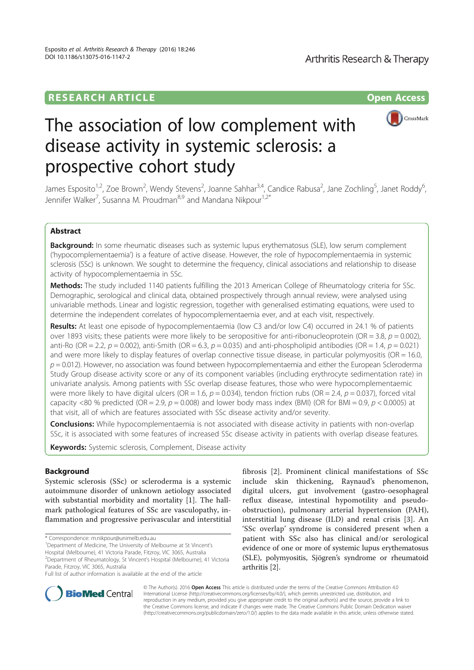## **RESEARCH ARTICLE** And the open Access of the open Access of the open Access of the open Access of the open Access



# The association of low complement with disease activity in systemic sclerosis: a prospective cohort study

James Esposito<sup>1,2</sup>, Zoe Brown<sup>2</sup>, Wendy Stevens<sup>2</sup>, Joanne Sahhar<sup>3,4</sup>, Candice Rabusa<sup>2</sup>, Jane Zochling<sup>5</sup>, Janet Roddy<sup>6</sup> י<br>, Jennifer Walker<sup>7</sup>, Susanna M. Proudman<sup>8,9</sup> and Mandana Nikpour<sup>1,2\*</sup>

## Abstract

Background: In some rheumatic diseases such as systemic lupus erythematosus (SLE), low serum complement ('hypocomplementaemia') is a feature of active disease. However, the role of hypocomplementaemia in systemic sclerosis (SSc) is unknown. We sought to determine the frequency, clinical associations and relationship to disease activity of hypocomplementaemia in SSc.

Methods: The study included 1140 patients fulfilling the 2013 American College of Rheumatology criteria for SSc. Demographic, serological and clinical data, obtained prospectively through annual review, were analysed using univariable methods. Linear and logistic regression, together with generalised estimating equations, were used to determine the independent correlates of hypocomplementaemia ever, and at each visit, respectively.

Results: At least one episode of hypocomplementaemia (low C3 and/or low C4) occurred in 24.1 % of patients over 1893 visits; these patients were more likely to be seropositive for anti-ribonucleoprotein (OR = 3.8,  $p = 0.002$ ), anti-Ro (OR = 2.2,  $p = 0.002$ ), anti-Smith (OR = 6.3,  $p = 0.035$ ) and anti-phospholipid antibodies (OR = 1.4,  $p = 0.021$ ) and were more likely to display features of overlap connective tissue disease, in particular polymyositis ( $OR = 16.0$ ,  $p = 0.012$ ). However, no association was found between hypocomplementaemia and either the European Scleroderma Study Group disease activity score or any of its component variables (including erythrocyte sedimentation rate) in univariate analysis. Among patients with SSc overlap disease features, those who were hypocomplementaemic were more likely to have digital ulcers (OR = 1.6,  $p = 0.034$ ), tendon friction rubs (OR = 2.4,  $p = 0.037$ ), forced vital capacity <80 % predicted (OR = 2.9,  $p = 0.008$ ) and lower body mass index (BMI) (OR for BMI = 0.9,  $p < 0.0005$ ) at that visit, all of which are features associated with SSc disease activity and/or severity.

**Conclusions:** While hypocomplementaemia is not associated with disease activity in patients with non-overlap SSc, it is associated with some features of increased SSc disease activity in patients with overlap disease features.

Keywords: Systemic sclerosis, Complement, Disease activity

## Background

Systemic sclerosis (SSc) or scleroderma is a systemic autoimmune disorder of unknown aetiology associated with substantial morbidity and mortality [1]. The hallmark pathological features of SSc are vasculopathy, inflammation and progressive perivascular and interstitial

<sup>1</sup>Department of Medicine, The University of Melbourne at St Vincent's Hospital (Melbourne), 41 Victoria Parade, Fitzroy, VIC 3065, Australia <sup>2</sup>Department of Rheumatology, St Vincent's Hospital (Melbourne), 41 Victoria fibrosis [2]. Prominent clinical manifestations of SSc include skin thickening, Raynaud's phenomenon, digital ulcers, gut involvement (gastro-oesophageal reflux disease, intestinal hypomotility and pseudoobstruction), pulmonary arterial hypertension (PAH), interstitial lung disease (ILD) and renal crisis [3]. An 'SSc overlap' syndrome is considered present when a patient with SSc also has clinical and/or serological evidence of one or more of systemic lupus erythematosus (SLE), polymyositis, Sjögren's syndrome or rheumatoid arthritis [2].



© The Author(s). 2016 Open Access This article is distributed under the terms of the Creative Commons Attribution 4.0 International License (http://creativecommons.org/licenses/by/4.0/), which permits unrestricted use, distribution, and reproduction in any medium, provided you give appropriate credit to the original author(s) and the source, provide a link to the Creative Commons license, and indicate if changes were made. The Creative Commons Public Domain Dedication waiver (http://creativecommons.org/publicdomain/zero/1.0/) applies to the data made available in this article, unless otherwise stated.

<sup>\*</sup> Correspondence: m.nikpour@unimelb.edu.au <sup>1</sup>

Parade, Fitzroy, VIC 3065, Australia Full list of author information is available at the end of the article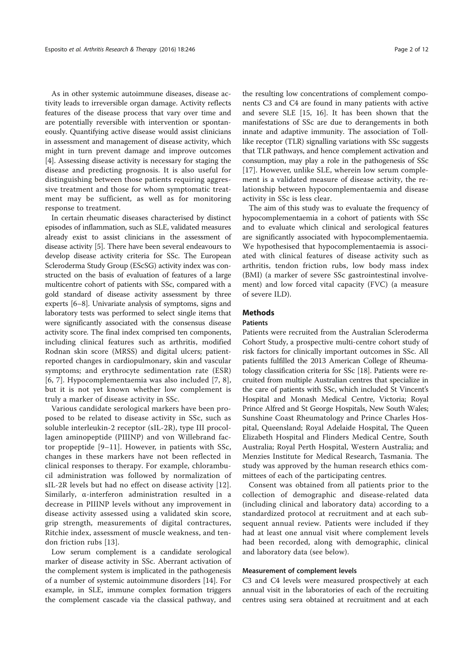As in other systemic autoimmune diseases, disease activity leads to irreversible organ damage. Activity reflects features of the disease process that vary over time and are potentially reversible with intervention or spontaneously. Quantifying active disease would assist clinicians in assessment and management of disease activity, which might in turn prevent damage and improve outcomes [4]. Assessing disease activity is necessary for staging the disease and predicting prognosis. It is also useful for distinguishing between those patients requiring aggressive treatment and those for whom symptomatic treatment may be sufficient, as well as for monitoring response to treatment.

In certain rheumatic diseases characterised by distinct episodes of inflammation, such as SLE, validated measures already exist to assist clinicians in the assessment of disease activity [5]. There have been several endeavours to develop disease activity criteria for SSc. The European Scleroderma Study Group (EScSG) activity index was constructed on the basis of evaluation of features of a large multicentre cohort of patients with SSc, compared with a gold standard of disease activity assessment by three experts [6–8]. Univariate analysis of symptoms, signs and laboratory tests was performed to select single items that were significantly associated with the consensus disease activity score. The final index comprised ten components, including clinical features such as arthritis, modified Rodnan skin score (MRSS) and digital ulcers; patientreported changes in cardiopulmonary, skin and vascular symptoms; and erythrocyte sedimentation rate (ESR) [6, 7]. Hypocomplementaemia was also included [7, 8], but it is not yet known whether low complement is truly a marker of disease activity in SSc.

Various candidate serological markers have been proposed to be related to disease activity in SSc, such as soluble interleukin-2 receptor (sIL-2R), type III procollagen aminopeptide (PIIINP) and von Willebrand factor propeptide [9–11]. However, in patients with SSc, changes in these markers have not been reflected in clinical responses to therapy. For example, chlorambucil administration was followed by normalization of sIL-2R levels but had no effect on disease activity [12]. Similarly, α-interferon administration resulted in a decrease in PIIINP levels without any improvement in disease activity assessed using a validated skin score, grip strength, measurements of digital contractures, Ritchie index, assessment of muscle weakness, and tendon friction rubs [13].

Low serum complement is a candidate serological marker of disease activity in SSc. Aberrant activation of the complement system is implicated in the pathogenesis of a number of systemic autoimmune disorders [14]. For example, in SLE, immune complex formation triggers the complement cascade via the classical pathway, and the resulting low concentrations of complement components C3 and C4 are found in many patients with active and severe SLE [15, 16]. It has been shown that the manifestations of SSc are due to derangements in both innate and adaptive immunity. The association of Tolllike receptor (TLR) signalling variations with SSc suggests that TLR pathways, and hence complement activation and consumption, may play a role in the pathogenesis of SSc [17]. However, unlike SLE, wherein low serum complement is a validated measure of disease activity, the relationship between hypocomplementaemia and disease activity in SSc is less clear.

The aim of this study was to evaluate the frequency of hypocomplementaemia in a cohort of patients with SSc and to evaluate which clinical and serological features are significantly associated with hypocomplementaemia. We hypothesised that hypocomplementaemia is associated with clinical features of disease activity such as arthritis, tendon friction rubs, low body mass index (BMI) (a marker of severe SSc gastrointestinal involvement) and low forced vital capacity (FVC) (a measure of severe ILD).

## Methods

## **Patients**

Patients were recruited from the Australian Scleroderma Cohort Study, a prospective multi-centre cohort study of risk factors for clinically important outcomes in SSc. All patients fulfilled the 2013 American College of Rheumatology classification criteria for SSc [18]. Patients were recruited from multiple Australian centres that specialize in the care of patients with SSc, which included St Vincent's Hospital and Monash Medical Centre, Victoria; Royal Prince Alfred and St George Hospitals, New South Wales; Sunshine Coast Rheumatology and Prince Charles Hospital, Queensland; Royal Adelaide Hospital, The Queen Elizabeth Hospital and Flinders Medical Centre, South Australia; Royal Perth Hospital, Western Australia; and Menzies Institute for Medical Research, Tasmania. The study was approved by the human research ethics committees of each of the participating centres.

Consent was obtained from all patients prior to the collection of demographic and disease-related data (including clinical and laboratory data) according to a standardized protocol at recruitment and at each subsequent annual review. Patients were included if they had at least one annual visit where complement levels had been recorded, along with demographic, clinical and laboratory data (see below).

#### Measurement of complement levels

C3 and C4 levels were measured prospectively at each annual visit in the laboratories of each of the recruiting centres using sera obtained at recruitment and at each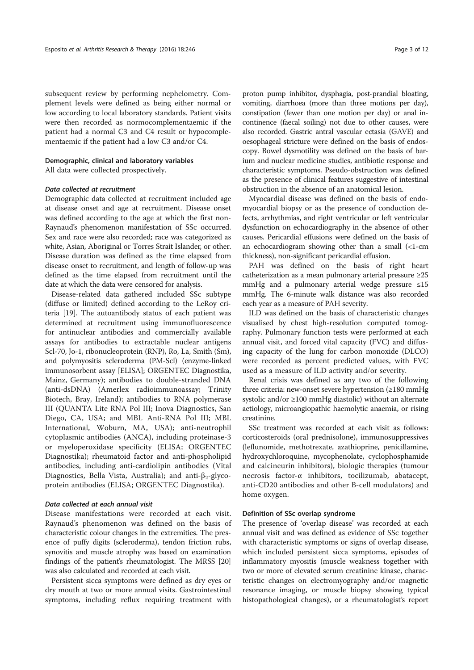subsequent review by performing nephelometry. Complement levels were defined as being either normal or low according to local laboratory standards. Patient visits were then recorded as normocomplementaemic if the patient had a normal C3 and C4 result or hypocomplementaemic if the patient had a low C3 and/or C4.

## Demographic, clinical and laboratory variables

All data were collected prospectively.

#### Data collected at recruitment

Demographic data collected at recruitment included age at disease onset and age at recruitment. Disease onset was defined according to the age at which the first non-Raynaud's phenomenon manifestation of SSc occurred. Sex and race were also recorded; race was categorized as white, Asian, Aboriginal or Torres Strait Islander, or other. Disease duration was defined as the time elapsed from disease onset to recruitment, and length of follow-up was defined as the time elapsed from recruitment until the date at which the data were censored for analysis.

Disease-related data gathered included SSc subtype (diffuse or limited) defined according to the LeRoy criteria [19]. The autoantibody status of each patient was determined at recruitment using immunofluorescence for antinuclear antibodies and commercially available assays for antibodies to extractable nuclear antigens Scl-70, Jo-1, ribonucleoprotein (RNP), Ro, La, Smith (Sm), and polymyositis scleroderma (PM-Scl) (enzyme-linked immunosorbent assay [ELISA]; ORGENTEC Diagnostika, Mainz, Germany); antibodies to double-stranded DNA (anti-dsDNA) (Amerlex radioimmunoassay; Trinity Biotech, Bray, Ireland); antibodies to RNA polymerase III (QUANTA Lite RNA Pol III; Inova Diagnostics, San Diego, CA, USA; and MBL Anti-RNA Pol III; MBL International, Woburn, MA, USA); anti-neutrophil cytoplasmic antibodies (ANCA), including proteinase-3 or myeloperoxidase specificity (ELISA; ORGENTEC Diagnostika); rheumatoid factor and anti-phospholipid antibodies, including anti-cardiolipin antibodies (Vital Diagnostics, Bella Vista, Australia); and anti-β<sub>2-glyco-</sub> protein antibodies (ELISA; ORGENTEC Diagnostika).

## Data collected at each annual visit

Disease manifestations were recorded at each visit. Raynaud's phenomenon was defined on the basis of characteristic colour changes in the extremities. The presence of puffy digits (scleroderma), tendon friction rubs, synovitis and muscle atrophy was based on examination findings of the patient's rheumatologist. The MRSS [20] was also calculated and recorded at each visit.

Persistent sicca symptoms were defined as dry eyes or dry mouth at two or more annual visits. Gastrointestinal symptoms, including reflux requiring treatment with

proton pump inhibitor, dysphagia, post-prandial bloating, vomiting, diarrhoea (more than three motions per day), constipation (fewer than one motion per day) or anal incontinence (faecal soiling) not due to other causes, were also recorded. Gastric antral vascular ectasia (GAVE) and oesophageal stricture were defined on the basis of endoscopy. Bowel dysmotility was defined on the basis of barium and nuclear medicine studies, antibiotic response and characteristic symptoms. Pseudo-obstruction was defined as the presence of clinical features suggestive of intestinal obstruction in the absence of an anatomical lesion.

Myocardial disease was defined on the basis of endomyocardial biopsy or as the presence of conduction defects, arrhythmias, and right ventricular or left ventricular dysfunction on echocardiography in the absence of other causes. Pericardial effusions were defined on the basis of an echocardiogram showing other than a small (<1-cm thickness), non-significant pericardial effusion.

PAH was defined on the basis of right heart catheterization as a mean pulmonary arterial pressure ≥25 mmHg and a pulmonary arterial wedge pressure ≤15 mmHg. The 6-minute walk distance was also recorded each year as a measure of PAH severity.

ILD was defined on the basis of characteristic changes visualised by chest high-resolution computed tomography. Pulmonary function tests were performed at each annual visit, and forced vital capacity (FVC) and diffusing capacity of the lung for carbon monoxide (DLCO) were recorded as percent predicted values, with FVC used as a measure of ILD activity and/or severity.

Renal crisis was defined as any two of the following three criteria: new-onset severe hypertension (≥180 mmHg systolic and/or ≥100 mmHg diastolic) without an alternate aetiology, microangiopathic haemolytic anaemia, or rising creatinine.

SSc treatment was recorded at each visit as follows: corticosteroids (oral prednisolone), immunosuppressives (leflunomide, methotrexate, azathioprine, penicillamine, hydroxychloroquine, mycophenolate, cyclophosphamide and calcineurin inhibitors), biologic therapies (tumour necrosis factor-α inhibitors, tocilizumab, abatacept, anti-CD20 antibodies and other B-cell modulators) and home oxygen.

#### Definition of SSc overlap syndrome

The presence of 'overlap disease' was recorded at each annual visit and was defined as evidence of SSc together with characteristic symptoms or signs of overlap disease, which included persistent sicca symptoms, episodes of inflammatory myositis (muscle weakness together with two or more of elevated serum creatinine kinase, characteristic changes on electromyography and/or magnetic resonance imaging, or muscle biopsy showing typical histopathological changes), or a rheumatologist's report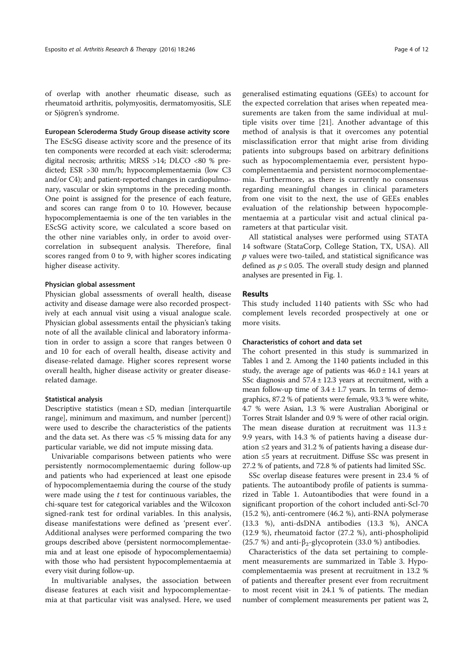of overlap with another rheumatic disease, such as rheumatoid arthritis, polymyositis, dermatomyositis, SLE or Sjögren's syndrome.

## European Scleroderma Study Group disease activity score

The EScSG disease activity score and the presence of its ten components were recorded at each visit: scleroderma; digital necrosis; arthritis; MRSS >14; DLCO <80 % predicted; ESR >30 mm/h; hypocomplementaemia (low C3 and/or C4); and patient-reported changes in cardiopulmonary, vascular or skin symptoms in the preceding month. One point is assigned for the presence of each feature, and scores can range from 0 to 10. However, because hypocomplementaemia is one of the ten variables in the EScSG activity score, we calculated a score based on the other nine variables only, in order to avoid overcorrelation in subsequent analysis. Therefore, final scores ranged from 0 to 9, with higher scores indicating higher disease activity.

#### Physician global assessment

Physician global assessments of overall health, disease activity and disease damage were also recorded prospectively at each annual visit using a visual analogue scale. Physician global assessments entail the physician's taking note of all the available clinical and laboratory information in order to assign a score that ranges between 0 and 10 for each of overall health, disease activity and disease-related damage. Higher scores represent worse overall health, higher disease activity or greater diseaserelated damage.

#### Statistical analysis

Descriptive statistics (mean ± SD, median [interquartile range], minimum and maximum, and number [percent]) were used to describe the characteristics of the patients and the data set. As there was <5 % missing data for any particular variable, we did not impute missing data.

Univariable comparisons between patients who were persistently normocomplementaemic during follow-up and patients who had experienced at least one episode of hypocomplementaemia during the course of the study were made using the  $t$  test for continuous variables, the chi-square test for categorical variables and the Wilcoxon signed-rank test for ordinal variables. In this analysis, disease manifestations were defined as 'present ever'. Additional analyses were performed comparing the two groups described above (persistent normocomplementaemia and at least one episode of hypocomplementaemia) with those who had persistent hypocomplementaemia at every visit during follow-up.

In multivariable analyses, the association between disease features at each visit and hypocomplementaemia at that particular visit was analysed. Here, we used generalised estimating equations (GEEs) to account for the expected correlation that arises when repeated measurements are taken from the same individual at multiple visits over time [21]. Another advantage of this method of analysis is that it overcomes any potential misclassification error that might arise from dividing patients into subgroups based on arbitrary definitions such as hypocomplementaemia ever, persistent hypocomplementaemia and persistent normocomplementaemia. Furthermore, as there is currently no consensus regarding meaningful changes in clinical parameters from one visit to the next, the use of GEEs enables evaluation of the relationship between hypocomplementaemia at a particular visit and actual clinical parameters at that particular visit.

All statistical analyses were performed using STATA 14 software (StataCorp, College Station, TX, USA). All  $p$  values were two-tailed, and statistical significance was defined as  $p \le 0.05$ . The overall study design and planned analyses are presented in Fig. 1.

#### Results

This study included 1140 patients with SSc who had complement levels recorded prospectively at one or more visits.

## Characteristics of cohort and data set

The cohort presented in this study is summarized in Tables 1 and 2. Among the 1140 patients included in this study, the average age of patients was  $46.0 \pm 14.1$  years at SSc diagnosis and  $57.4 \pm 12.3$  years at recruitment, with a mean follow-up time of  $3.4 \pm 1.7$  years. In terms of demographics, 87.2 % of patients were female, 93.3 % were white, 4.7 % were Asian, 1.3 % were Australian Aboriginal or Torres Strait Islander and 0.9 % were of other racial origin. The mean disease duration at recruitment was  $11.3 \pm$ 9.9 years, with 14.3 % of patients having a disease duration ≤2 years and 31.2 % of patients having a disease duration ≤5 years at recruitment. Diffuse SSc was present in 27.2 % of patients, and 72.8 % of patients had limited SSc.

SSc overlap disease features were present in 23.4 % of patients. The autoantibody profile of patients is summarized in Table 1. Autoantibodies that were found in a significant proportion of the cohort included anti-Scl-70 (15.2 %), anti-centromere (46.2 %), anti-RNA polymerase (13.3 %), anti-dsDNA antibodies (13.3 %), ANCA (12.9 %), rheumatoid factor (27.2 %), anti-phospholipid (25.7 %) and anti- $\beta_2$ -glycoprotein (33.0 %) antibodies.

Characteristics of the data set pertaining to complement measurements are summarized in Table 3. Hypocomplementaemia was present at recruitment in 13.2 % of patients and thereafter present ever from recruitment to most recent visit in 24.1 % of patients. The median number of complement measurements per patient was 2,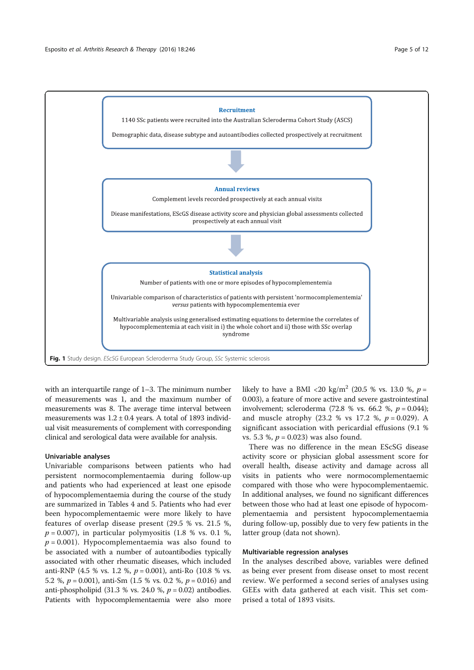

with an interquartile range of 1–3. The minimum number of measurements was 1, and the maximum number of measurements was 8. The average time interval between measurements was  $1.2 \pm 0.4$  years. A total of 1893 individual visit measurements of complement with corresponding clinical and serological data were available for analysis.

#### Univariable analyses

Univariable comparisons between patients who had persistent normocomplementaemia during follow-up and patients who had experienced at least one episode of hypocomplementaemia during the course of the study are summarized in Tables 4 and 5. Patients who had ever been hypocomplementaemic were more likely to have features of overlap disease present (29.5 % vs. 21.5 %,  $p = 0.007$ ), in particular polymyositis (1.8 % vs. 0.1 %,  $p = 0.001$ ). Hypocomplementaemia was also found to be associated with a number of autoantibodies typically associated with other rheumatic diseases, which included anti-RNP (4.5 % vs. 1.2 %,  $p = 0.001$ ), anti-Ro (10.8 % vs. 5.2 %,  $p = 0.001$ ), anti-Sm (1.5 % vs. 0.2 %,  $p = 0.016$ ) and anti-phospholipid (31.3 % vs. 24.0 %,  $p = 0.02$ ) antibodies. Patients with hypocomplementaemia were also more likely to have a BMI <20 kg/m<sup>2</sup> (20.5 % vs. 13.0 %,  $p =$ 0.003), a feature of more active and severe gastrointestinal involvement; scleroderma  $(72.8 %$  vs. 66.2 %,  $p = 0.044$ ); and muscle atrophy  $(23.2 % vs 17.2 %, p = 0.029)$ . A significant association with pericardial effusions (9.1 % vs. 5.3 %,  $p = 0.023$ ) was also found.

There was no difference in the mean EScSG disease activity score or physician global assessment score for overall health, disease activity and damage across all visits in patients who were normocomplementaemic compared with those who were hypocomplementaemic. In additional analyses, we found no significant differences between those who had at least one episode of hypocomplementaemia and persistent hypocomplementaemia during follow-up, possibly due to very few patients in the latter group (data not shown).

#### Multivariable regression analyses

In the analyses described above, variables were defined as being ever present from disease onset to most recent review. We performed a second series of analyses using GEEs with data gathered at each visit. This set comprised a total of 1893 visits.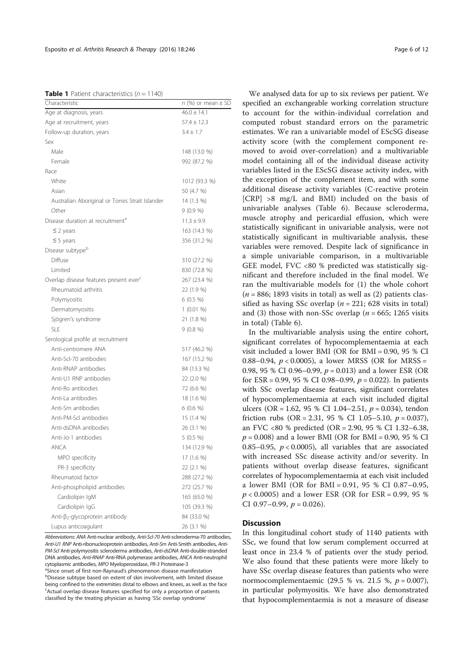|  |  |  | <b>Table 1</b> Patient characteristics ( $n = 1140$ ) |  |  |
|--|--|--|-------------------------------------------------------|--|--|
|--|--|--|-------------------------------------------------------|--|--|

| Characteristic                                     | $n$ (%) or mean $\pm$ SD |
|----------------------------------------------------|--------------------------|
| Age at diagnosis, years                            | $46.0 + 14.1$            |
| Age at recruitment, years                          | $57.4 \pm 12.3$          |
| Follow-up duration, years                          | $3.4 \pm 1.7$            |
| Sex                                                |                          |
| Male                                               | 148 (13.0 %)             |
| Female                                             | 992 (87.2 %)             |
| Race                                               |                          |
| White                                              | 1012 (93.3 %)            |
| Asian                                              | 50 (4.7 %)               |
| Australian Aboriginal or Torres Strait Islander    | 14 (1.3 %)               |
| Other                                              | $9(0.9\%)$               |
| Disease duration at recruitment <sup>a</sup>       | $11.3 \pm 9.9$           |
| $\leq$ 2 years                                     | 163 (14.3 %)             |
| $\leq$ 5 years                                     | 356 (31.2 %)             |
| Disease subtype <sup>b</sup>                       |                          |
| Diffuse                                            | 310 (27.2 %)             |
| Limited                                            | 830 (72.8 %)             |
| Overlap disease features present ever <sup>c</sup> | 267 (23.4 %)             |
| Rheumatoid arthritis                               | 22 (1.9 %)               |
| Polymyositis                                       | $6(0.5\%)$               |
| Dermatomyositis                                    | $1(0.01\%)$              |
| Sjögren's syndrome                                 | 21 (1.8 %)               |
| <b>SLE</b>                                         | 9(0.8%)                  |
| Serological profile at recruitment                 |                          |
| Anti-centromere ANA                                | 517 (46.2 %)             |
| Anti-Scl-70 antibodies                             | 167 (15.2 %)             |
| Anti-RNAP antibodies                               | 84 (13.3 %)              |
| Anti-U1 RNP antibodies                             | 22 (2.0 %)               |
| Anti-Ro antibodies                                 | 72 (6.6 %)               |
| Anti-La antibodies                                 | 18 (1.6 %)               |
| Anti-Sm antibodies                                 | 6 (0.6 %)                |
| Anti-PM-Scl antibodies                             | 15 (1.4 %)               |
| Anti-dsDNA antibodies                              | 26 (3.1 %)               |
| Anti-Jo-1 antibodies                               | 5 (0.5 %)                |
| <b>ANCA</b>                                        | 134 (12.9 %)             |
| MPO specificity                                    | 17 (1.6 %)               |
| PR-3 specificity                                   | 22 (2.1 %)               |
| Rheumatoid factor                                  | 288 (27.2 %)             |
| Anti-phospholipid antibodies                       | 272 (25.7 %)             |
| Cardiolipin IgM                                    | 165 (65.0 %)             |
| Cardiolipin IgG                                    | 105 (39.3 %)             |
| Anti-β <sub>2</sub> -glycoprotein antibody         | 84 (33.0 %)              |
| Lupus anticoagulant                                | 26 (3.1 %)               |

Abbreviations: ANA Anti-nuclear antibody, Anti-Scl-70 Anti-scleroderma-70 antibodies, Anti-U1 RNP Anti-ribonucleoprotein antibodies, Anti-Sm Anti-Smith antibodies, Anti-PM-Scl Anti-polymyositis scleroderma antibodies, Anti-dsDNA Anti-double-stranded DNA antibodies, Anti-RNAP Anti-RNA polymerase antibodies, ANCA Anti-neutrophil cytoplasmic antibodies, MPO Myeloperoxidase, PR-3 Proteinase-3 <sup>a</sup>Since onset of first non-Raynaud's phenomenon disease manifestation Disease subtype based on extent of skin involvement, with limited disease being confined to the extremities distal to elbows and knees, as well as the face <sup>c</sup>Actual overlap disease features specified for only a proportion of patients classified by the treating physician as having 'SSc overlap syndrome'

We analysed data for up to six reviews per patient. We specified an exchangeable working correlation structure to account for the within-individual correlation and computed robust standard errors on the parametric estimates. We ran a univariable model of EScSG disease activity score (with the complement component removed to avoid over-correlation) and a multivariable model containing all of the individual disease activity variables listed in the EScSG disease activity index, with the exception of the complement item, and with some additional disease activity variables (C-reactive protein [CRP] >8 mg/L and BMI) included on the basis of univariable analyses (Table 6). Because scleroderma, muscle atrophy and pericardial effusion, which were statistically significant in univariable analysis, were not statistically significant in multivariable analysis, these variables were removed. Despite lack of significance in a simple univariable comparison, in a multivariable GEE model, FVC <80 % predicted was statistically significant and therefore included in the final model. We ran the multivariable models for (1) the whole cohort  $(n = 886; 1893$  visits in total) as well as  $(2)$  patients classified as having SSc overlap ( $n = 221$ ; 628 visits in total) and (3) those with non-SSc overlap ( $n = 665$ ; 1265 visits in total) (Table 6).

In the multivariable analysis using the entire cohort, significant correlates of hypocomplementaemia at each visit included a lower BMI (OR for BMI = 0.90, 95 % CI 0.88–0.94,  $p < 0.0005$ ), a lower MRSS (OR for MRSS = 0.98, 95 % CI 0.96–0.99,  $p = 0.013$ ) and a lower ESR (OR for ESR = 0.99, 95 % CI 0.98–0.99,  $p = 0.022$ ). In patients with SSc overlap disease features, significant correlates of hypocomplementaemia at each visit included digital ulcers (OR = 1.62, 95 % CI 1.04–2.51,  $p = 0.034$ ), tendon friction rubs (OR = 2.31, 95 % CI 1.05–5.10,  $p = 0.037$ ), an FVC <80 % predicted (OR = 2.90, 95 % CI 1.32–6.38,  $p = 0.008$ ) and a lower BMI (OR for BMI = 0.90, 95 % CI 0.85–0.95,  $p < 0.0005$ ), all variables that are associated with increased SSc disease activity and/or severity. In patients without overlap disease features, significant correlates of hypocomplementaemia at each visit included a lower BMI (OR for BMI = 0.91, 95 % CI 0.87–0.95,  $p < 0.0005$ ) and a lower ESR (OR for ESR = 0.99, 95 % CI 0.97–0.99,  $p = 0.026$ ).

#### **Discussion**

In this longitudinal cohort study of 1140 patients with SSc, we found that low serum complement occurred at least once in 23.4 % of patients over the study period. We also found that these patients were more likely to have SSc overlap disease features than patients who were normocomplementaemic (29.5 % vs. 21.5 %,  $p = 0.007$ ), in particular polymyositis. We have also demonstrated that hypocomplementaemia is not a measure of disease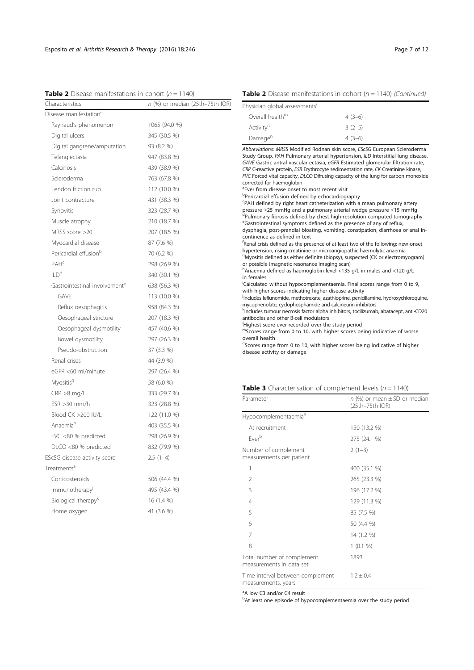|  |  | <b>Table 2</b> Disease manifestations in cohort ( $n = 1140$ ) |  |  |  |  |
|--|--|----------------------------------------------------------------|--|--|--|--|
|--|--|----------------------------------------------------------------|--|--|--|--|

Characteristics  $n$  (%) or median (25th–75th IQR) Disease manifestation<sup>a</sup> Raynaud's phenomenon 1065 (94.0 %) Digital ulcers 345 (30.5 %) Digital gangrene/amputation 93 (8.2 %) Telangiectasia 947 (83.8 %) Calcinosis 439 (38.9 %) Scleroderma 763 (67.8 %) Tendon friction rub 112 (10.0 %) Joint contracture 431 (38.3 %) Synovitis 323 (28.7 %) Muscle atrophy 210 (18.7 %) MRSS score >20 207 (18.5 %) Myocardial disease 87 (7.6 %) Pericardial effusion<sup>b</sup> 70 (6.2 %) PAH<sup>c</sup> 298 (26.9 %)  $ILD<sup>d</sup>$  340 (30.1 %) Gastrointestinal involvement<sup>e</sup> 638 (56.3 %) GAVE 113 (10.0 %) Reflux oesophagitis 958 (84.3 %) Oesophageal stricture 207 (18.3 %) Oesophageal dysmotility 457 (40.6 %) Bowel dysmotility 297 (26.3 %) Pseudo-obstruction 37 (3.3 %) Renal crises<sup>f</sup> 44 (3.9 %) eGFR <60 ml/minute 297 (26.4 %)  $Myostis<sup>9</sup>$  58 (6.0 %) CRP >8 mg/L 333 (29.7 %) ESR >30 mm/h 323 (28.8 %) Blood CK >200 IU/L 122 (11.0 %) Anaemiah 403 (35.5 %) FVC <80 % predicted 298 (26.9 %) DLCO <80 % predicted 832 (79.9 %) EScSG disease activity score<sup>i</sup> 2.5 (1-4) Treatments<sup>a</sup> Corticosteroids 506 (44.4 %)  $Immunotherapy<sup>j</sup>$  495 (43.4 %) Biological therapy<sup>k</sup> 16 (1.4 %) Home oxygen 41 (3.6 %)

| <b>Table 2</b> Disease manifestations in cohort ( $n = 1140$ ) (Continued) |  |  |
|----------------------------------------------------------------------------|--|--|
|                                                                            |  |  |

| Physician global assessments' |          |
|-------------------------------|----------|
| Overall health <sup>m</sup>   | $4(3-6)$ |
| Activity <sup>n</sup>         | $3(2-5)$ |
| Damage <sup>n</sup>           | $4(3-6)$ |

Abbreviations: MRSS Modified Rodnan skin score, EScSG European Scleroderma Study Group, PAH Pulmonary arterial hypertension, ILD Interstitial lung disease, GAVE Gastric antral vascular ectasia, eGFR Estimated glomerular filtration rate, CRP C-reactive protein, ESR Erythrocyte sedimentation rate, CK Creatinine kinase, FVC Forced vital capacity, DLCO Diffusing capacity of the lung for carbon monoxide corrected for haemoglobin <sup>a</sup> Ever from disease onset to most recent visit bPericardial effusion defined by echocardiography <sup>c</sup>PAH defined by right heart catheterization with a mean pulmonary artery pressure ≥25 mmHg and a pulmonary arterial wedge pressure ≤15 mmHg d<br>Pulmonary fibrosis defined by chest high-resolution computed tomography e Gastrointestinal symptoms defined as the presence of any of reflux, dysphagia, post-prandial bloating, vomiting, constipation, diarrhoea or anal incontinence as defined in text f Renal crisis defined as the presence of at least two of the following: new-onset hypertension, rising creatinine or microangiopathic haemolytic anaemia <sup>9</sup>Myositis defined as either definite (biopsy), suspected (CK or electromyogram) or possible (magnetic resonance imaging scan) h Anaemia defined as haemoglobin level <135 g/L in males and <120 g/L in females <sup>i</sup>Calculated without hypocomplementaemia. Final scores range from 0 to 9, with higher scores indicating higher disease activity j Includes leflunomide, methotrexate, azathioprine, penicillamine, hydroxychloroquine, mycophenolate, cyclophosphamide and calcineurin inhibitors k Includes tumour necrosis factor alpha inhibitors, tocilizumab, abatacept, anti-CD20 antibodies and other B-cell modulators <sup>/</sup>Highest score ever recorded over the study period mScores range from 0 to 10, with higher scores being indicative of worse overall health <sup>n</sup>Scores range from 0 to 10, with higher scores being indicative of higher disease activity or damage

| Table 3 Characterisation of complement levels $(n = 1140)$ |  |  |  |
|------------------------------------------------------------|--|--|--|
|------------------------------------------------------------|--|--|--|

| Parameter                                               | $n$ (%) or mean $\pm$ SD or median<br>(25th-75th IQR) |
|---------------------------------------------------------|-------------------------------------------------------|
| Hypocomplementaemia <sup>a</sup>                        |                                                       |
| At recruitment                                          | 150 (13.2 %)                                          |
| Fverb                                                   | 275 (24.1 %)                                          |
| Number of complement<br>measurements per patient        | $2(1-3)$                                              |
| 1                                                       | 400 (35.1 %)                                          |
| $\overline{2}$                                          | 265 (23.3 %)                                          |
| 3                                                       | 196 (17.2 %)                                          |
| 4                                                       | 129 (11.3 %)                                          |
| 5                                                       | 85 (7.5 %)                                            |
| 6                                                       | 50 (4.4 %)                                            |
| 7                                                       | 14 (1.2 %)                                            |
| 8                                                       | 1(0.1%                                                |
| Total number of complement<br>measurements in data set  | 1893                                                  |
| Time interval between complement<br>measurements, years | $1.2 \pm 0.4$                                         |

<sup>a</sup>A low C3 and/or C4 result

<sup>b</sup>At least one episode of hypocomplementaemia over the study period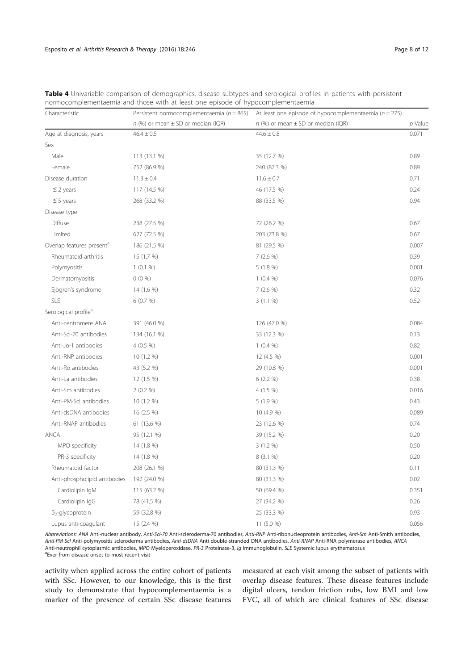| Characteristic                        | Persistent normocomplementaemia ( $n = 865$ ) | At least one episode of hypocomplementaemia ( $n = 275$ ) |         |
|---------------------------------------|-----------------------------------------------|-----------------------------------------------------------|---------|
|                                       | $n$ (%) or mean $\pm$ SD or median (IQR)      | $n$ (%) or mean $\pm$ SD or median (IQR)                  | p Value |
| Age at diagnosis, years               | $46.4 \pm 0.5$                                | $44.6 \pm 0.8$                                            | 0.071   |
| Sex                                   |                                               |                                                           |         |
| Male                                  | 113 (13.1 %)                                  | 35 (12.7 %)                                               | 0.89    |
| Female                                | 752 (86.9 %)                                  | 240 (87.3 %)                                              | 0.89    |
| Disease duration                      | $11.3 \pm 0.4$                                | $11.6 \pm 0.7$                                            | 0.71    |
| $\leq$ 2 years                        | 117 (14.5 %)                                  | 46 (17.5 %)                                               | 0.24    |
| $\leq$ 5 years                        | 268 (33.2 %)                                  | 88 (33.5 %)                                               | 0.94    |
| Disease type                          |                                               |                                                           |         |
| Diffuse                               | 238 (27.5 %)                                  | 72 (26.2 %)                                               | 0.67    |
| Limited                               | 627 (72.5 %)                                  | 203 (73.8 %)                                              | 0.67    |
| Overlap features present <sup>a</sup> | 186 (21.5 %)                                  | 81 (29.5 %)                                               | 0.007   |
| Rheumatoid arthritis                  | 15 (1.7 %)                                    | 7(2.6%)                                                   | 0.39    |
| Polymyositis                          | 1(0.1%                                        | 5 (1.8 %)                                                 | 0.001   |
| Dermatomyositis                       | $0(0\%)$                                      | $1(0.4\%)$                                                | 0.076   |
| Sjögren's syndrome                    | 14 (1.6 %)                                    | 7(2.6%                                                    | 0.32    |
| SLE                                   | 6(0.7%)                                       | 3(1.1%)                                                   | 0.52    |
| Serological profile <sup>a</sup>      |                                               |                                                           |         |
| Anti-centromere ANA                   | 391 (46.0 %)                                  | 126 (47.0 %)                                              | 0.084   |
| Anti-Scl-70 antibodies                | 134 (16.1 %)                                  | 33 (12.3 %)                                               | 0.13    |
| Anti-Jo-1 antibodies                  | $4(0.5\%)$                                    | $1(0.4\%)$                                                | 0.82    |
| Anti-RNP antibodies                   | 10 (1.2 %)                                    | 12 (4.5 %)                                                | 0.001   |
| Anti-Ro antibodies                    | 43 (5.2 %)                                    | 29 (10.8 %)                                               | 0.001   |
| Anti-La antibodies                    | 12 (1.5 %)                                    | 6(2.2 %)                                                  | 0.38    |
| Anti-Sm antibodies                    | 2(0.2%                                        | $4(1.5\%)$                                                | 0.016   |
| Anti-PM-Scl antibodies                | 10 (1.2 %)                                    | 5(1.9%)                                                   | 0.43    |
| Anti-dsDNA antibodies                 | 16 (2.5 %)                                    | 10 (4.9 %)                                                | 0.089   |
| Anti-RNAP antibodies                  | 61 (13.6 %)                                   | 23 (12.6 %)                                               | 0.74    |
| ANCA                                  | 95 (12.1 %)                                   | 39 (15.2 %)                                               | 0.20    |
| MPO specificity                       | 14 (1.8 %)                                    | 3(1.2%)                                                   | 0.50    |
| PR-3 specificity                      | 14 (1.8 %)                                    | 8 (3.1 %)                                                 | 0.20    |
| Rheumatoid factor                     | 208 (26.1 %)                                  | 80 (31.3 %)                                               | 0.11    |
| Anti-phospholipid antibodies          | 192 (24.0 %)                                  | 80 (31.3 %)                                               | 0.02    |
| Cardiolipin IqM                       | 115 (63.2 %)                                  | 50 (69.4 %)                                               | 0.351   |
| Cardiolipin IgG                       | 78 (41.5 %)                                   | 27 (34.2 %)                                               | 0.26    |
| $\beta_2$ -glycoprotein               | 59 (32.8 %)                                   | 25 (33.3 %)                                               | 0.93    |
| Lupus anti-coagulant                  | 15 (2.4 %)                                    | 11 (5.0 %)                                                | 0.056   |

Table 4 Univariable comparison of demographics, disease subtypes and serological profiles in patients with persistent normocomplementaemia and those with at least one episode of hypocomplementaemia

Abbreviations: ANA Anti-nuclear antibody, Anti-Scl-70 Anti-scleroderma-70 antibodies, Anti-RNP Anti-ibonucleoprotein antibodies, Anti-Sm Anti-Smith antibodies, Anti-PM-Scl Anti-polymyositis scleroderma antibodies, Anti-dsDNA Anti-double-stranded DNA antibodies, Anti-RNAP Anti-RNA polymerase antibodies, ANCA Anti-neutrophil cytoplasmic antibodies, MPO Myeloperoxidase, PR-3 Proteinase-3, Ig Immunoglobulin, SLE Systemic lupus erythematosus <sup>a</sup> <sup>a</sup> Ever from disease onset to most recent visit

activity when applied across the entire cohort of patients with SSc. However, to our knowledge, this is the first study to demonstrate that hypocomplementaemia is a marker of the presence of certain SSc disease features

measured at each visit among the subset of patients with overlap disease features. These disease features include digital ulcers, tendon friction rubs, low BMI and low FVC, all of which are clinical features of SSc disease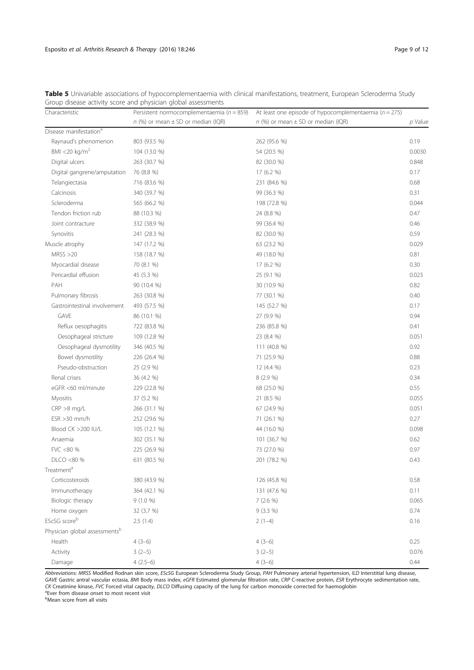| Characteristic                     | Persistent normocomplementaemia ( $n = 859$ ) | At least one episode of hypocomplementaemia ( $n = 275$ ) |         |
|------------------------------------|-----------------------------------------------|-----------------------------------------------------------|---------|
|                                    | $n$ (%) or mean $\pm$ SD or median (IQR)      | $n$ (%) or mean $\pm$ SD or median (IQR)                  | p Value |
| Disease manifestation <sup>a</sup> |                                               |                                                           |         |
| Raynaud's phenomenon               | 803 (93.5 %)                                  | 262 (95.6 %)                                              | 0.19    |
| BMI <20 kg/ $m2$                   | 104 (13.0 %)                                  | 54 (20.5 %)                                               | 0.0030  |
| Digital ulcers                     | 263 (30.7 %)                                  | 82 (30.0 %)                                               | 0.848   |
| Digital gangrene/amputation        | 76 (8.8 %)                                    | 17 (6.2 %)                                                | 0.17    |
| Telangiectasia                     | 716 (83.6 %)                                  | 231 (84.6 %)                                              | 0.68    |
| Calcinosis                         | 340 (39.7 %)                                  | 99 (36.3 %)                                               | 0.31    |
| Scleroderma                        | 565 (66.2 %)                                  | 198 (72.8 %)                                              | 0.044   |
| Tendon friction rub                | 88 (10.3 %)                                   | 24 (8.8 %)                                                | 0.47    |
| Joint contracture                  | 332 (38.9 %)                                  | 99 (36.4 %)                                               | 0.46    |
| Synovitis                          | 241 (28.3 %)                                  | 82 (30.0 %)                                               | 0.59    |
| Muscle atrophy                     | 147 (17.2 %)                                  | 63 (23.2 %)                                               | 0.029   |
| MRSS > 20                          | 158 (18.7 %)                                  | 49 (18.0 %)                                               | 0.81    |
| Myocardial disease                 | 70 (8.1 %)                                    | 17 (6.2 %)                                                | 0.30    |
| Pericardial effusion               | 45 (5.3 %)                                    | 25 (9.1 %)                                                | 0.023   |
| PAH                                | 90 (10.4 %)                                   | 30 (10.9 %)                                               | 0.82    |
| Pulmonary fibrosis                 | 263 (30.8 %)                                  | 77 (30.1 %)                                               | 0.40    |
| Gastrointestinal involvement       | 493 (57.5 %)                                  | 145 (52.7 %)                                              | 0.17    |
| GAVE                               | 86 (10.1 %)                                   | 27 (9.9 %)                                                | 0.94    |
| Reflux oesophagitis                | 722 (83.8 %)                                  | 236 (85.8 %)                                              | 0.41    |
| Oesophageal stricture              | 109 (12.8 %)                                  | 23 (8.4 %)                                                | 0.051   |
| Oesophageal dysmotility            | 346 (40.5 %)                                  | 111 (40.8 %)                                              | 0.92    |
| Bowel dysmotility                  | 226 (26.4 %)                                  | 71 (25.9 %)                                               | 0.88    |
| Pseudo-obstruction                 | 25 (2.9 %)                                    | 12 (4.4 %)                                                | 0.23    |
| Renal crises                       | 36 (4.2 %)                                    | 8 (2.9 %)                                                 | 0.34    |
| eGFR <60 ml/minute                 | 229 (22.8 %)                                  | 68 (25.0 %)                                               | 0.55    |
| <b>Myositis</b>                    | 37 (5.2 %)                                    | 21 (8.5 %)                                                | 0.055   |
| $CRP > 8$ mg/L                     | 266 (31.1 %)                                  | 67 (24.9 %)                                               | 0.051   |
| $ESR > 30$ mm/h                    | 252 (29.6 %)                                  | 71 (26.1 %)                                               | 0.27    |
| Blood CK >200 IU/L                 | 105 (12.1 %)                                  | 44 (16.0 %)                                               | 0.098   |
| Anaemia                            | 302 (35.1 %)                                  | 101 (36.7 %)                                              | 0.62    |
| FVC <80 %                          | 225 (26.9 %)                                  | 73 (27.0 %)                                               | 0.97    |
| DLCO <80 %                         | 631 (80.5 %)                                  | 201 (78.2 %)                                              | 0.43    |
| Treatment <sup>a</sup>             |                                               |                                                           |         |
| Corticosteroids                    | 380 (43.9 %)                                  | 126 (45.8 %)                                              | 0.58    |
| Immunotherapy                      | 364 (42.1 %)                                  | 131 (47.6 %)                                              | 0.11    |
| Biologic therapy                   | $9(1.0\%)$                                    | 7(2.6%                                                    | 0.065   |
| Home oxygen                        | 32 (3.7 %)                                    | $9(3.3\%)$                                                | 0.74    |
| EScSG scoreb                       | 2.5(1.4)                                      | $2(1-4)$                                                  | 0.16    |
| Physician global assessmentsb      |                                               |                                                           |         |
| Health                             | $4(3-6)$                                      | $4(3-6)$                                                  | 0.25    |
| Activity                           | $3(2-5)$                                      | $3(2-5)$                                                  | 0.076   |
| Damage                             | $4(2.5-6)$                                    | $4(3-6)$                                                  | 0.44    |

Table 5 Univariable associations of hypocomplementaemia with clinical manifestations, treatment, European Scleroderma Study Group disease activity score and physician global assessments

Abbreviations: MRSS Modified Rodnan skin score, EScSG European Scleroderma Study Group, PAH Pulmonary arterial hypertension, ILD Interstitial lung disease, GAVE Gastric antral vascular ectasia, BMI Body mass index, eGFR Estimated glomerular filtration rate, CRP C-reactive protein, ESR Erythrocyte sedimentation rate, CK Creatinine kinase, FVC Forced vital capacity, DLCO Diffusing capacity of the lung for carbon monoxide corrected for haemoglobin<br><sup>ap</sup>uer from disease onset to most recent visit

<sup>a</sup>Ever from disease onset to most recent visit<br><sup>b</sup>Mean score from all visits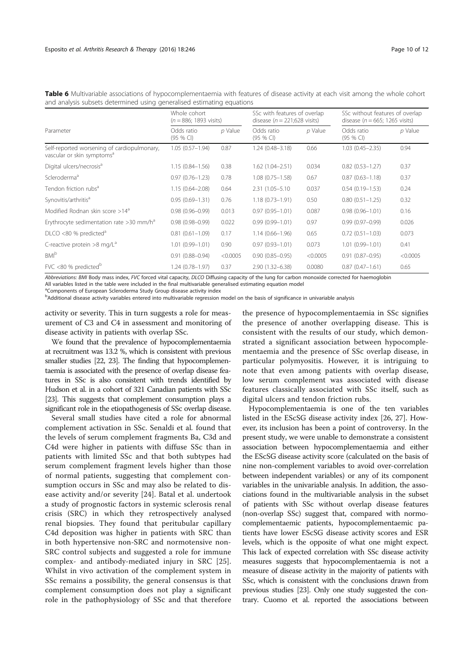|                                                                                       | Whole cohort<br>$(n = 886; 1893 \text{ visits})$ |           | SSc with features of overlap<br>disease ( $n = 221;628$ visits) |           | SSc without features of overlap<br>disease ( $n = 665$ ; 1265 visits) |           |
|---------------------------------------------------------------------------------------|--------------------------------------------------|-----------|-----------------------------------------------------------------|-----------|-----------------------------------------------------------------------|-----------|
| Parameter                                                                             | Odds ratio<br>(95 % CI)                          | $p$ Value | Odds ratio<br>(95 % CI)                                         | $p$ Value | Odds ratio<br>$(95%$ CI)                                              | $p$ Value |
| Self-reported worsening of cardiopulmonary,<br>vascular or skin symptoms <sup>a</sup> | $1.05(0.57 - 1.94)$                              | 0.87      | $1.24(0.48 - 3.18)$                                             | 0.66      | $1.03(0.45 - 2.35)$                                                   | 0.94      |
| Digital ulcers/necrosis <sup>a</sup>                                                  | $1.15(0.84 - 1.56)$                              | 0.38      | $1.62(1.04 - 2.51)$                                             | 0.034     | $0.82(0.53 - 1.27)$                                                   | 0.37      |
| Scleroderma <sup>a</sup>                                                              | $0.97(0.76 - 1.23)$                              | 0.78      | $1.08(0.75 - 1.58)$                                             | 0.67      | $0.87(0.63 - 1.18)$                                                   | 0.37      |
| Tendon friction rubs <sup>a</sup>                                                     | $1.15(0.64 - 2.08)$                              | 0.64      | 2.31 (1.05-5.10)                                                | 0.037     | $0.54(0.19 - 1.53)$                                                   | 0.24      |
| Synovitis/arthritis <sup>a</sup>                                                      | $0.95(0.69 - 1.31)$                              | 0.76      | $1.18(0.73 - 1.91)$                                             | 0.50      | $0.80(0.51 - 1.25)$                                                   | 0.32      |
| Modified Rodnan skin score $>14^a$                                                    | $0.98(0.96 - 0.99)$                              | 0.013     | $0.97(0.95 - 1.01)$                                             | 0.087     | $0.98(0.96 - 1.01)$                                                   | 0.16      |
| Erythrocyte sedimentation rate $>$ 30 mm/h <sup>a</sup>                               | $0.98(0.98 - 0.99)$                              | 0.022     | $0.99(0.99 - 1.01)$                                             | 0.97      | $0.99(0.97 - 0.99)$                                                   | 0.026     |
| $DICO$ <80 % predicted <sup>a</sup>                                                   | $0.81(0.61 - 1.09)$                              | 0.17      | $1.14(0.66 - 1.96)$                                             | 0.65      | $0.72(0.51 - 1.03)$                                                   | 0.073     |
| C-reactive protein $>8$ mg/L <sup>a</sup>                                             | $1.01(0.99 - 1.01)$                              | 0.90      | $0.97(0.93 - 1.01)$                                             | 0.073     | $1.01(0.99 - 1.01)$                                                   | 0.41      |
| <b>BMI</b> <sup>b</sup>                                                               | $0.91(0.88 - 0.94)$                              | < 0.0005  | $0.90(0.85 - 0.95)$                                             | < 0.0005  | $0.91(0.87 - 0.95)$                                                   | < 0.0005  |
| FVC <80 % predicted <sup>b</sup>                                                      | $1.24(0.78 - 1.97)$                              | 0.37      | $2.90(1.32 - 6.38)$                                             | 0.0080    | $0.87(0.47 - 1.61)$                                                   | 0.65      |

Table 6 Multivariable associations of hypocomplementaemia with features of disease activity at each visit among the whole cohort and analysis subsets determined using generalised estimating equations

Abbreviations: BMI Body mass index, FVC forced vital capacity, DLCO Diffusing capacity of the lung for carbon monoxide corrected for haemoglobin

All variables listed in the table were included in the final multivariable generalised estimating equation model

<sup>a</sup>Components of European Scleroderma Study Group disease activity index

<sup>b</sup>Additional disease activity variables entered into multivariable regression model on the basis of significance in univariable analysis

activity or severity. This in turn suggests a role for measurement of C3 and C4 in assessment and monitoring of disease activity in patients with overlap SSc.

We found that the prevalence of hypocomplementaemia at recruitment was 13.2 %, which is consistent with previous smaller studies [22, 23]. The finding that hypocomplementaemia is associated with the presence of overlap disease features in SSc is also consistent with trends identified by Hudson et al. in a cohort of 321 Canadian patients with SSc [23]. This suggests that complement consumption plays a significant role in the etiopathogenesis of SSc overlap disease.

Several small studies have cited a role for abnormal complement activation in SSc. Senaldi et al. found that the levels of serum complement fragments Ba, C3d and C4d were higher in patients with diffuse SSc than in patients with limited SSc and that both subtypes had serum complement fragment levels higher than those of normal patients, suggesting that complement consumption occurs in SSc and may also be related to disease activity and/or severity [24]. Batal et al. undertook a study of prognostic factors in systemic sclerosis renal crisis (SRC) in which they retrospectively analysed renal biopsies. They found that peritubular capillary C4d deposition was higher in patients with SRC than in both hypertensive non-SRC and normotensive non-SRC control subjects and suggested a role for immune complex- and antibody-mediated injury in SRC [25]. Whilst in vivo activation of the complement system in SSc remains a possibility, the general consensus is that complement consumption does not play a significant role in the pathophysiology of SSc and that therefore the presence of hypocomplementaemia in SSc signifies the presence of another overlapping disease. This is consistent with the results of our study, which demonstrated a significant association between hypocomplementaemia and the presence of SSc overlap disease, in particular polymyositis. However, it is intriguing to note that even among patients with overlap disease, low serum complement was associated with disease features classically associated with SSc itself, such as digital ulcers and tendon friction rubs.

Hypocomplementaemia is one of the ten variables listed in the EScSG disease activity index [26, 27]. However, its inclusion has been a point of controversy. In the present study, we were unable to demonstrate a consistent association between hypocomplementaemia and either the EScSG disease activity score (calculated on the basis of nine non-complement variables to avoid over-correlation between independent variables) or any of its component variables in the univariable analysis. In addition, the associations found in the multivariable analysis in the subset of patients with SSc without overlap disease features (non-overlap SSc) suggest that, compared with normocomplementaemic patients, hypocomplementaemic patients have lower EScSG disease activity scores and ESR levels, which is the opposite of what one might expect. This lack of expected correlation with SSc disease activity measures suggests that hypocomplementaemia is not a measure of disease activity in the majority of patients with SSc, which is consistent with the conclusions drawn from previous studies [23]. Only one study suggested the contrary. Cuomo et al. reported the associations between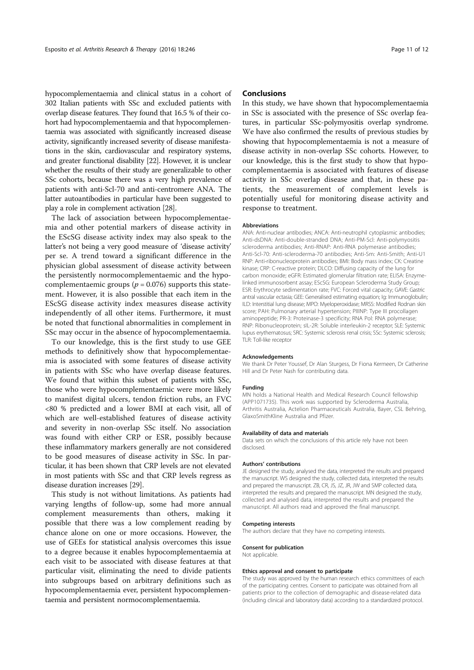hypocomplementaemia and clinical status in a cohort of 302 Italian patients with SSc and excluded patients with overlap disease features. They found that 16.5 % of their cohort had hypocomplementaemia and that hypocomplementaemia was associated with significantly increased disease activity, significantly increased severity of disease manifestations in the skin, cardiovascular and respiratory systems, and greater functional disability [22]. However, it is unclear whether the results of their study are generalizable to other SSc cohorts, because there was a very high prevalence of patients with anti-Scl-70 and anti-centromere ANA. The latter autoantibodies in particular have been suggested to play a role in complement activation [28].

The lack of association between hypocomplementaemia and other potential markers of disease activity in the EScSG disease activity index may also speak to the latter's not being a very good measure of 'disease activity' per se. A trend toward a significant difference in the physician global assessment of disease activity between the persistently normocomplementaemic and the hypocomplementaemic groups ( $p = 0.076$ ) supports this statement. However, it is also possible that each item in the EScSG disease activity index measures disease activity independently of all other items. Furthermore, it must be noted that functional abnormalities in complement in SSc may occur in the absence of hypocomplementaemia.

To our knowledge, this is the first study to use GEE methods to definitively show that hypocomplementaemia is associated with some features of disease activity in patients with SSc who have overlap disease features. We found that within this subset of patients with SSc, those who were hypocomplementaemic were more likely to manifest digital ulcers, tendon friction rubs, an FVC <80 % predicted and a lower BMI at each visit, all of which are well-established features of disease activity and severity in non-overlap SSc itself. No association was found with either CRP or ESR, possibly because these inflammatory markers generally are not considered to be good measures of disease activity in SSc. In particular, it has been shown that CRP levels are not elevated in most patients with SSc and that CRP levels regress as disease duration increases [29].

This study is not without limitations. As patients had varying lengths of follow-up, some had more annual complement measurements than others, making it possible that there was a low complement reading by chance alone on one or more occasions. However, the use of GEEs for statistical analysis overcomes this issue to a degree because it enables hypocomplementaemia at each visit to be associated with disease features at that particular visit, eliminating the need to divide patients into subgroups based on arbitrary definitions such as hypocomplementaemia ever, persistent hypocomplementaemia and persistent normocomplementaemia.

#### Conclusions

In this study, we have shown that hypocomplementaemia in SSc is associated with the presence of SSc overlap features, in particular SSc-polymyositis overlap syndrome. We have also confirmed the results of previous studies by showing that hypocomplementaemia is not a measure of disease activity in non-overlap SSc cohorts. However, to our knowledge, this is the first study to show that hypocomplementaemia is associated with features of disease activity in SSc overlap disease and that, in these patients, the measurement of complement levels is potentially useful for monitoring disease activity and response to treatment.

#### Abbreviations

ANA: Anti-nuclear antibodies; ANCA: Anti-neutrophil cytoplasmic antibodies; Anti-dsDNA: Anti-double-stranded DNA; Anti-PM-Scl: Anti-polymyositis scleroderma antibodies; Anti-RNAP: Anti-RNA polymerase antibodies; Anti-Scl-70: Anti-scleroderma-70 antibodies; Anti-Sm: Anti-Smith; Anti-U1 RNP: Anti-ribonucleoprotein antibodies; BMI: Body mass index; CK: Creatine kinase; CRP: C-reactive protein; DLCO: Diffusing capacity of the lung for carbon monoxide; eGFR: Estimated glomerular filtration rate; ELISA: Enzymelinked immunosorbent assay; EScSG: European Scleroderma Study Group; ESR: Erythrocyte sedimentation rate; FVC: Forced vital capacity; GAVE: Gastric antral vascular ectasia; GEE: Generalised estimating equation; Ig: Immunoglobulin; ILD: Interstitial lung disease; MPO: Myeloperoxidase; MRSS: Modified Rodnan skin score; PAH: Pulmonary arterial hypertension; PIIINP: Type III procollagen aminopeptide; PR-3: Proteinase-3 specificity; RNA Pol: RNA polymerase; RNP: Ribonucleoprotein; sIL-2R: Soluble interleukin-2 receptor; SLE: Systemic lupus erythematosus; SRC: Systemic sclerosis renal crisis; SSc: Systemic sclerosis; TLR: Toll-like receptor

#### Acknowledgements

We thank Dr Peter Youssef, Dr Alan Sturgess, Dr Fiona Kermeen, Dr Catherine Hill and Dr Peter Nash for contributing data.

#### Funding

MN holds a National Health and Medical Research Council fellowship (APP1071735). This work was supported by Scleroderma Australia, Arthritis Australia, Actelion Pharmaceuticals Australia, Bayer, CSL Behring, GlaxoSmithKline Australia and Pfizer.

#### Availability of data and materials

Data sets on which the conclusions of this article rely have not been disclosed.

#### Authors' contributions

JE designed the study, analysed the data, interpreted the results and prepared the manuscript. WS designed the study, collected data, interpreted the results and prepared the manuscript. ZB, CR, JS, JZ, JR, JW and SMP collected data, interpreted the results and prepared the manuscript. MN designed the study, collected and analysed data, interpreted the results and prepared the manuscript. All authors read and approved the final manuscript.

#### Competing interests

The authors declare that they have no competing interests.

## Consent for publication

Not applicable.

#### Ethics approval and consent to participate

The study was approved by the human research ethics committees of each of the participating centres. Consent to participate was obtained from all patients prior to the collection of demographic and disease-related data (including clinical and laboratory data) according to a standardized protocol.